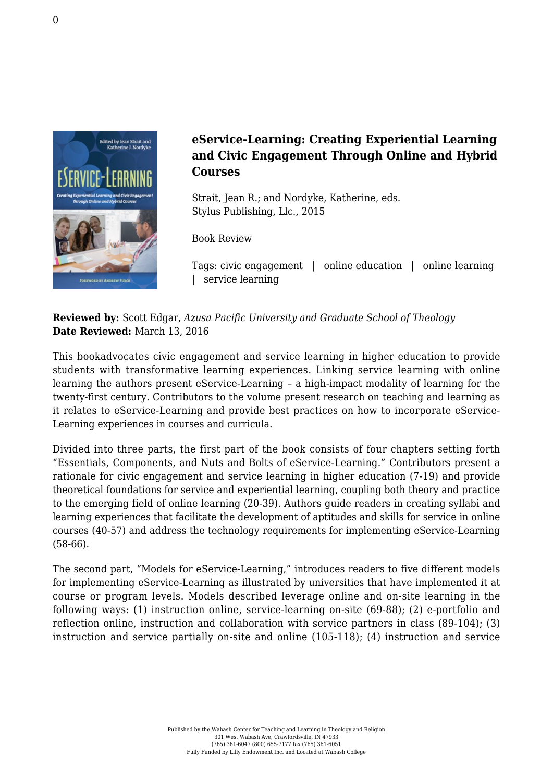

## **eService-Learning: Creating Experiential Learning and Civic Engagement Through Online and Hybrid Courses**

Strait, Jean R.; and Nordyke, Katherine, eds. [Stylus Publishing, Llc., 2015](https://sty.presswarehouse.com/Books/BookDetail.aspx?productID=360461)

Book Review

Tags: civic engagement | online education | online learning | service learning

**Reviewed by:** Scott Edgar, *Azusa Pacific University and Graduate School of Theology* **Date Reviewed:** March 13, 2016

This bookadvocates civic engagement and service learning in higher education to provide students with transformative learning experiences. Linking service learning with online learning the authors present eService-Learning – a high-impact modality of learning for the twenty-first century. Contributors to the volume present research on teaching and learning as it relates to eService-Learning and provide best practices on how to incorporate eService-Learning experiences in courses and curricula.

Divided into three parts, the first part of the book consists of four chapters setting forth "Essentials, Components, and Nuts and Bolts of eService-Learning." Contributors present a rationale for civic engagement and service learning in higher education (7-19) and provide theoretical foundations for service and experiential learning, coupling both theory and practice to the emerging field of online learning (20-39). Authors guide readers in creating syllabi and learning experiences that facilitate the development of aptitudes and skills for service in online courses (40-57) and address the technology requirements for implementing eService-Learning (58-66).

The second part, "Models for eService-Learning," introduces readers to five different models for implementing eService-Learning as illustrated by universities that have implemented it at course or program levels. Models described leverage online and on-site learning in the following ways: (1) instruction online, service-learning on-site (69-88); (2) e-portfolio and reflection online, instruction and collaboration with service partners in class (89-104); (3) instruction and service partially on-site and online (105-118); (4) instruction and service